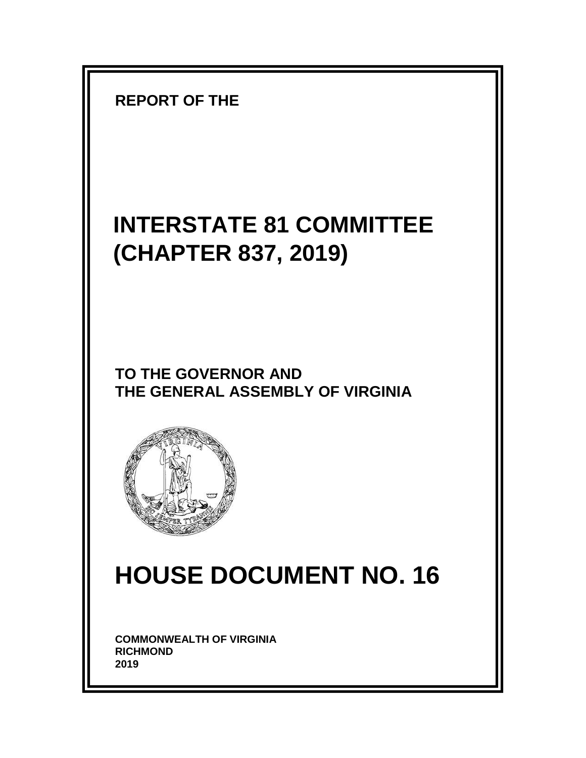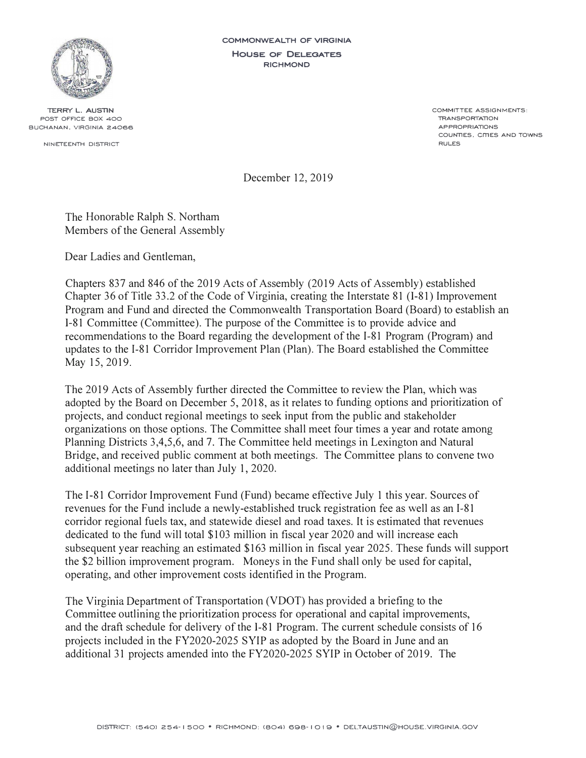

**TERRY L. AUSTIN POST OFFICE BOX 400 BUCHANAN, VIRGINIA 24066** 

**NINETEENTH DISTRICT** 

**COMMONWEALTH OF VIRGINIA HOUSE OF DELEGATES RICHMOND** 

> **COMMIT TEE ASSIGNMENTS: TRANSPORTATION APPROPRIATIONS COUNTIES, cmES AND TOWNS RULES**

December 12, 2019

The Honorable Ralph S. Northam Members of the General Assembly

Dear Ladies and Gentleman,

Chapters 837 and 846 of the 2019 Acts of Assembly (2019 Acts of Assembly) established Chapter 36 of Title 33 .2 of the Code of Virginia, creating the Interstate 81 (1-81) Improvement Program and Fund and directed the Commonwealth Transportation Board (Board) to establish an 1-81 Committee (Committee). The purpose of the Committee is to provide advice and recommendations to the Board regarding the development of the I-81 Program (Program) and updates to the I-81 Corridor Improvement Plan (Plan). The Board established the Committee May 15, 2019.

The 2019 Acts of Assembly further directed the Committee to review the Plan, which was adopted by the Board on December 5, 2018, as it relates to funding options and prioritization of projects, and conduct regional meetings to seek input from the public and stakeholder organizations on those options. The Committee shall meet four times a year and rotate among Planning Districts 3,4,5,6, and 7. The Committee held meetings in Lexington and Natural Bridge, and received public comment at both meetings. The Committee plans to convene two additional meetings no later than July 1, 2020.

The I-81 Corridor Improvement Fund (Fund) became effective July 1 this year. Sources of revenues for the Fund include a newly-established truck registration fee as well as an I-81 corridor regional fuels tax, and statewide diesel and road taxes. It is estimated that revenues dedicated to the fund will total \$103 million in fiscal year 2020 and will increase each subsequent year reaching an estimated \$163 million in fiscal year 2025. These funds will support the \$2 billion improvement program. Moneys in the Fund shall only be used for capital, operating, and other improvement costs identified in the Program.

The Virginia Department of Transportation (VDOT) has provided a briefing to the Committee outlining the prioritization process for operational and capital improvements, and the draft schedule for delivery of the 1-81 Program. The current schedule consists of 16 projects included in the FY2020-2025 SYIP as adopted by the Board in June and an additional 31 projects amended into the FY2020-2025 SYIP in October of 2019. The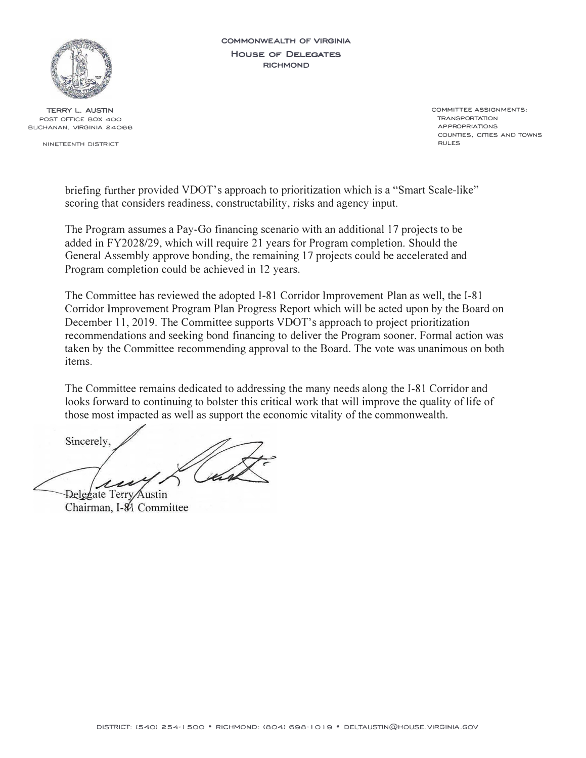

**TERRY L. AUSTIN POST OFFICE BOX 400 BUCHANAN, VIRGINIA 24066** 

**NINETEENTH DISTRICT** 

**COMMONWEALTH OF VIRGINIA HOUSE OF DELEGATES RICHMOND** 

> **COMMITTEE ASSIGNMENTS: TRANSPORTATlON APPROPRIATlONS COUNTlES. cmES AND TOWNS RULES**

briefing further provided VDOT's approach to prioritization which is a "Smart Scale-like" scoring that considers readiness, constructability, risks and agency input.

The Program assumes a Pay-Go financing scenario with an additional 17 projects to be added in FY2028/29, which will require 21 years for Program completion. Should the General Assembly approve bonding, the remaining 17 projects could be accelerated and Program completion could be achieved in 12 years.

The Committee has reviewed the adopted I-81 Corridor Improvement Plan as well, the 1-81 Corridor Improvement Program Plan Progress Report which will be acted upon by the Board on December 11, 2019. The Committee supports VDOT's approach to project prioritization recommendations and seeking bond financing to deliver the Program sooner. Formal action was taken by the Committee recommending approval to the Board. The vote was unanimous on both items.

The Committee remains dedicated to addressing the many needs along the 1-81 Corridor and looks forward to continuing to bolster this critical work that will improve the quality of life of those most impacted as well as support the economic vitality of the commonwealth.

Sincerely,

Delegate Terry Austin Chairman, I-84 Committee